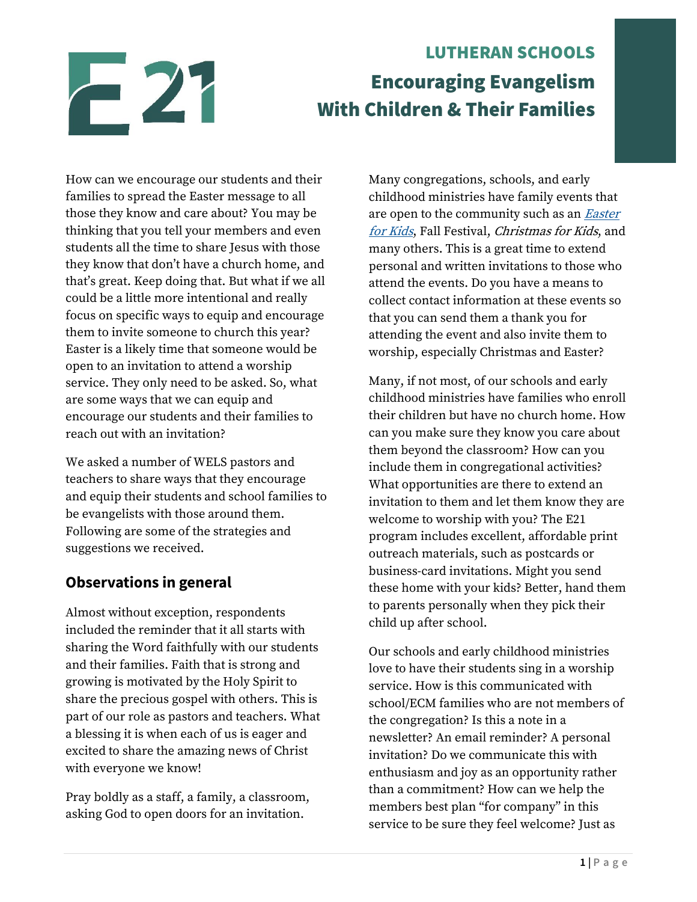

# LUTHERAN SCHOOLS Encouraging Evangelism With Children & Their Families

How can we encourage our students and their families to spread the Easter message to all those they know and care about? You may be thinking that you tell your members and even students all the time to share Jesus with those they know that don't have a church home, and that's great. Keep doing that. But what if we all could be a little more intentional and really focus on specific ways to equip and encourage them to invite someone to church this year? Easter is a likely time that someone would be open to an invitation to attend a worship service. They only need to be asked. So, what are some ways that we can equip and encourage our students and their families to reach out with an invitation?

We asked a number of WELS pastors and teachers to share ways that they encourage and equip their students and school families to be evangelists with those around them. Following are some of the strategies and suggestions we received.

## **Observations in general**

Almost without exception, respondents included the reminder that it all starts with sharing the Word faithfully with our students and their families. Faith that is strong and growing is motivated by the Holy Spirit to share the precious gospel with others. This is part of our role as pastors and teachers. What a blessing it is when each of us is eager and excited to share the amazing news of Christ with everyone we know!

Pray boldly as a staff, a family, a classroom, asking God to open doors for an invitation.

Many congregations, schools, and early childhood ministries have family events that are open to the community such as an **Easter** [for Kids](https://welscongregationalservices.net/download/e20-evangelism-resources/), Fall Festival, Christmas for Kids, and many others. This is a great time to extend personal and written invitations to those who attend the events. Do you have a means to collect contact information at these events so that you can send them a thank you for attending the event and also invite them to worship, especially Christmas and Easter?

Many, if not most, of our schools and early childhood ministries have families who enroll their children but have no church home. How can you make sure they know you care about them beyond the classroom? How can you include them in congregational activities? What opportunities are there to extend an invitation to them and let them know they are welcome to worship with you? The E21 program includes excellent, affordable print outreach materials, such as postcards or business-card invitations. Might you send these home with your kids? Better, hand them to parents personally when they pick their child up after school.

Our schools and early childhood ministries love to have their students sing in a worship service. How is this communicated with school/ECM families who are not members of the congregation? Is this a note in a newsletter? An email reminder? A personal invitation? Do we communicate this with enthusiasm and joy as an opportunity rather than a commitment? How can we help the members best plan "for company" in this service to be sure they feel welcome? Just as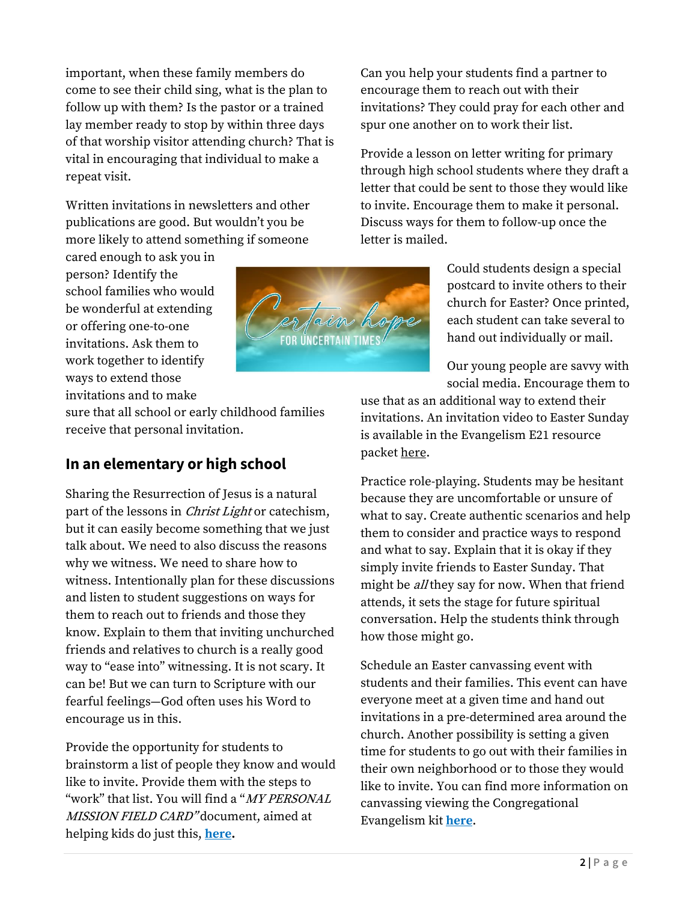important, when these family members do come to see their child sing, what is the plan to follow up with them? Is the pastor or a trained lay member ready to stop by within three days of that worship visitor attending church? That is vital in encouraging that individual to make a repeat visit.

Written invitations in newsletters and other publications are good. But wouldn't you be more likely to attend something if someone

cared enough to ask you in person? Identify the school families who would be wonderful at extending or offering one-to-one invitations. Ask them to work together to identify ways to extend those invitations and to make



Can you help your students find a partner to encourage them to reach out with their invitations? They could pray for each other and spur one another on to work their list.

Provide a lesson on letter writing for primary through high school students where they draft a letter that could be sent to those they would like to invite. Encourage them to make it personal. Discuss ways for them to follow-up once the letter is mailed.

> Could students design a special postcard to invite others to their church for Easter? Once printed, each student can take several to hand out individually or mail.

> Our young people are savvy with social media. Encourage them to

sure that all school or early childhood families receive that personal invitation.

#### **In an elementary or high school**

Sharing the Resurrection of Jesus is a natural part of the lessons in *Christ Light* or catechism, but it can easily become something that we just talk about. We need to also discuss the reasons why we witness. We need to share how to witness. Intentionally plan for these discussions and listen to student suggestions on ways for them to reach out to friends and those they know. Explain to them that inviting unchurched friends and relatives to church is a really good way to "ease into" witnessing. It is not scary. It can be! But we can turn to Scripture with our fearful feelings—God often uses his Word to encourage us in this.

Provide the opportunity for students to brainstorm a list of people they know and would like to invite. Provide them with the steps to "work" that list. You will find a "*MY PERSONAL* MISSION FIELD CARD" document, aimed at helping kids do just this, **[here.](https://welscongregationalservices.net/e21/)**

use that as an additional way to extend their invitations. An invitation video to Easter Sunday is available in the Evangelism E21 resource packet [here.](https://welscongregationalservices.net/e21/)

Practice role-playing. Students may be hesitant because they are uncomfortable or unsure of what to say. Create authentic scenarios and help them to consider and practice ways to respond and what to say. Explain that it is okay if they simply invite friends to Easter Sunday. That might be *all* they say for now. When that friend attends, it sets the stage for future spiritual conversation. Help the students think through how those might go.

Schedule an Easter canvassing event with students and their families. This event can have everyone meet at a given time and hand out invitations in a pre-determined area around the church. Another possibility is setting a given time for students to go out with their families in their own neighborhood or to those they would like to invite. You can find more information on canvassing viewing the Congregational Evangelism kit **[here](https://welscongregationalservices.net/congregational-evangelism-kit/)**.